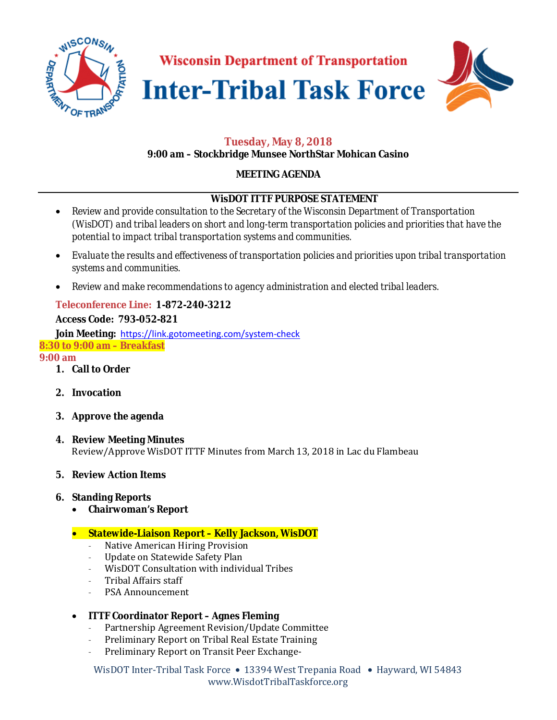





# **Tuesday, May 8, 2018**

### **9:00 am – Stockbridge Munsee NorthStar Mohican Casino**

## **MEETING AGENDA**

### **WisDOT ITTF PURPOSE STATEMENT**

- *Review and provide consultation to the Secretary of the Wisconsin Department of Transportation (WisDOT) and tribal leaders on short and long-term transportation policies and priorities that have the potential to impact tribal transportation systems and communities.*
- *Evaluate the results and effectiveness of transportation policies and priorities upon tribal transportation systems and communities.*
- *Review and make recommendations to agency administration and elected tribal leaders.*

## **Teleconference Line: 1-872-240-3212**

### **Access Code: 793-052-821**

**Join Meeting:** https://link.gotomeeting.com/system-check **8:30 to 9:00 am – Breakfast**

**9:00 am** 

- **1. Call to Order**
- **2. Invocation**
- **3. Approve the agenda**
- **4. Review Meeting Minutes**  Review/Approve WisDOT ITTF Minutes from March 13, 2018 in Lac du Flambeau
- **5. Review Action Items**
- **6. Standing Reports** 
	- **Chairwoman's Report**

## • **Statewide-Liaison Report – Kelly Jackson, WisDOT**

- Native American Hiring Provision
- Update on Statewide Safety Plan
- WisDOT Consultation with individual Tribes
- Tribal Affairs staff
- PSA Announcement

## • **ITTF Coordinator Report – Agnes Fleming**

- Partnership Agreement Revision/Update Committee
- Preliminary Report on Tribal Real Estate Training
- Preliminary Report on Transit Peer Exchange-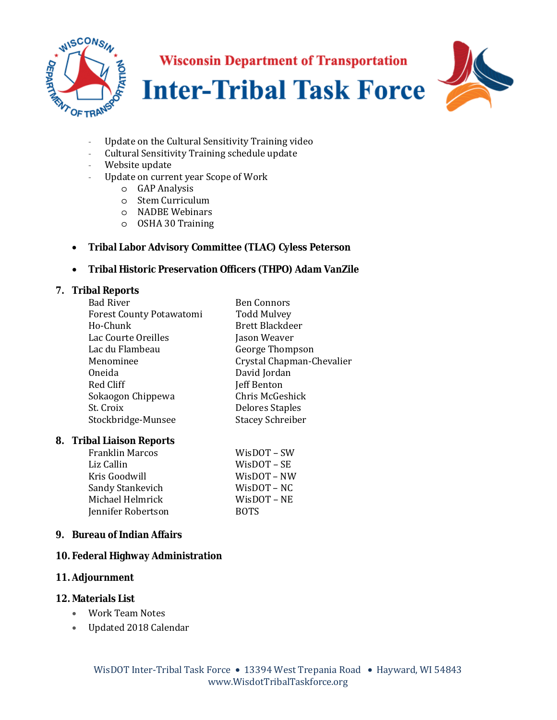





- Update on the Cultural Sensitivity Training video
- Cultural Sensitivity Training schedule update
- Website update
- Update on current year Scope of Work
	- o GAP Analysis
	- o Stem Curriculum
	- o NADBE Webinars
	- o OSHA 30 Training

### • **Tribal Labor Advisory Committee (TLAC) Cyless Peterson**

### • **Tribal Historic Preservation Officers (THPO) Adam VanZile**

#### **7. Tribal Reports**

| <b>Bad River</b>                | <b>Ben Connors</b>        |
|---------------------------------|---------------------------|
| <b>Forest County Potawatomi</b> | <b>Todd Mulvey</b>        |
| Ho-Chunk                        | <b>Brett Blackdeer</b>    |
| Lac Courte Oreilles             | Jason Weaver              |
| Lac du Flambeau                 | George Thompson           |
| Menominee                       | Crystal Chapman-Chevalier |
| Oneida                          | David Jordan              |
| Red Cliff                       | Jeff Benton               |
| Sokaogon Chippewa               | Chris McGeshick           |
| St. Croix                       | <b>Delores Staples</b>    |
| Stockbridge-Munsee              | <b>Stacey Schreiber</b>   |
|                                 |                           |

#### **8. Tribal Liaison Reports**

| <b>Franklin Marcos</b> | WisDOT - SW       |
|------------------------|-------------------|
| Liz Callin             | $W$ isDOT – SE    |
| Kris Goodwill          | $W$ is $DOT - NW$ |
| Sandy Stankevich       | $W$ is $DOT - NC$ |
| Michael Helmrick       | $W$ is $DOT - NE$ |
| Jennifer Robertson     | <b>BOTS</b>       |

### **9. Bureau of Indian Affairs**

#### **10. Federal Highway Administration**

### **11. Adjournment**

### **12. Materials List**

- Work Team Notes
- Updated 2018 Calendar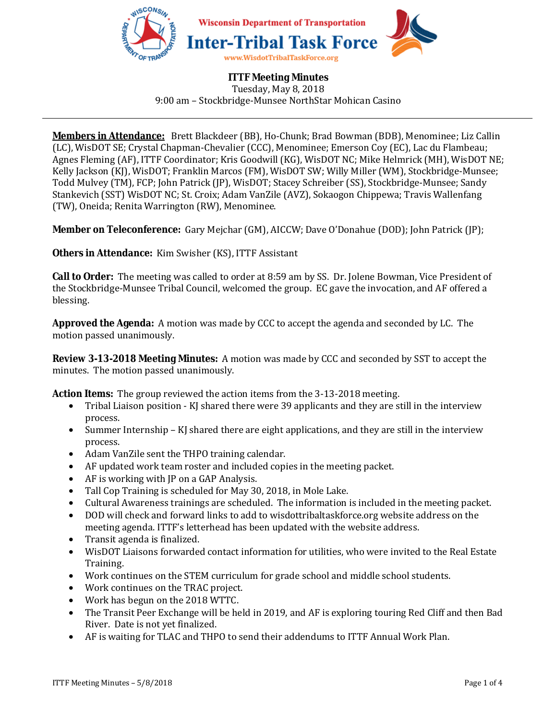

# **ITTF Meeting Minutes**

Tuesday, May 8, 2018 9:00 am – Stockbridge-Munsee NorthStar Mohican Casino

**Members in Attendance:** Brett Blackdeer (BB), Ho-Chunk; Brad Bowman (BDB), Menominee; Liz Callin (LC), WisDOT SE; Crystal Chapman-Chevalier (CCC), Menominee; Emerson Coy (EC), Lac du Flambeau; Agnes Fleming (AF), ITTF Coordinator; Kris Goodwill (KG), WisDOT NC; Mike Helmrick (MH), WisDOT NE; Kelly Jackson (KJ), WisDOT; Franklin Marcos (FM), WisDOT SW; Willy Miller (WM), Stockbridge-Munsee; Todd Mulvey (TM), FCP; John Patrick (JP), WisDOT; Stacey Schreiber (SS), Stockbridge-Munsee; Sandy Stankevich (SST) WisDOT NC; St. Croix; Adam VanZile (AVZ), Sokaogon Chippewa; Travis Wallenfang (TW), Oneida; Renita Warrington (RW), Menominee.

**Member on Teleconference:** Gary Mejchar (GM), AICCW; Dave O'Donahue (DOD); John Patrick (JP);

**Others in Attendance:** Kim Swisher (KS), ITTF Assistant

**Call to Order:** The meeting was called to order at 8:59 am by SS. Dr. Jolene Bowman, Vice President of the Stockbridge-Munsee Tribal Council, welcomed the group. EC gave the invocation, and AF offered a blessing.

**Approved the Agenda:** A motion was made by CCC to accept the agenda and seconded by LC. The motion passed unanimously.

**Review 3-13-2018 Meeting Minutes:** A motion was made by CCC and seconded by SST to accept the minutes. The motion passed unanimously.

**Action Items:** The group reviewed the action items from the 3-13-2018 meeting.

- Tribal Liaison position KI shared there were 39 applicants and they are still in the interview process.
- Summer Internship KJ shared there are eight applications, and they are still in the interview process.
- Adam VanZile sent the THPO training calendar.
- AF updated work team roster and included copies in the meeting packet.
- AF is working with JP on a GAP Analysis.
- Tall Cop Training is scheduled for May 30, 2018, in Mole Lake.
- Cultural Awareness trainings are scheduled. The information is included in the meeting packet.
- DOD will check and forward links to add to wisdottribaltaskforce.org website address on the meeting agenda. ITTF's letterhead has been updated with the website address.
- Transit agenda is finalized.
- WisDOT Liaisons forwarded contact information for utilities, who were invited to the Real Estate Training.
- Work continues on the STEM curriculum for grade school and middle school students.
- Work continues on the TRAC project.
- Work has begun on the 2018 WTTC.
- The Transit Peer Exchange will be held in 2019, and AF is exploring touring Red Cliff and then Bad River. Date is not yet finalized.
- AF is waiting for TLAC and THPO to send their addendums to ITTF Annual Work Plan.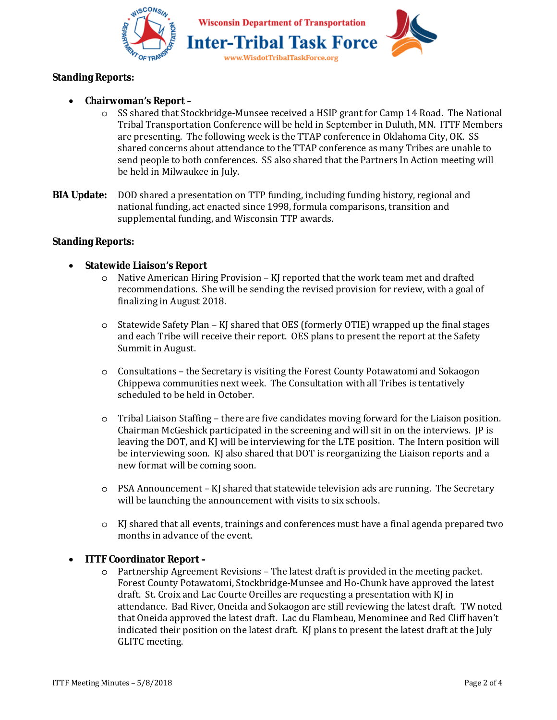



## **Standing Reports:**

## • **Chairwoman's Report –**

- o SS shared that Stockbridge-Munsee received a HSIP grant for Camp 14 Road. The National Tribal Transportation Conference will be held in September in Duluth, MN. ITTF Members are presenting. The following week is the TTAP conference in Oklahoma City, OK. SS shared concerns about attendance to the TTAP conference as many Tribes are unable to send people to both conferences. SS also shared that the Partners In Action meeting will be held in Milwaukee in July.
- **BIA Update:** DOD shared a presentation on TTP funding, including funding history, regional and national funding, act enacted since 1998, formula comparisons, transition and supplemental funding, and Wisconsin TTP awards.

### **Standing Reports:**

### • **Statewide Liaison's Report**

- $\circ$  Native American Hiring Provision KJ reported that the work team met and drafted recommendations. She will be sending the revised provision for review, with a goal of finalizing in August 2018.
- o Statewide Safety Plan KJ shared that OES (formerly OTIE) wrapped up the final stages and each Tribe will receive their report. OES plans to present the report at the Safety Summit in August.
- o Consultations the Secretary is visiting the Forest County Potawatomi and Sokaogon Chippewa communities next week. The Consultation with all Tribes is tentatively scheduled to be held in October.
- o Tribal Liaison Staffing there are five candidates moving forward for the Liaison position. Chairman McGeshick participated in the screening and will sit in on the interviews. JP is leaving the DOT, and KJ will be interviewing for the LTE position. The Intern position will be interviewing soon. KJ also shared that DOT is reorganizing the Liaison reports and a new format will be coming soon.
- o PSA Announcement KJ shared that statewide television ads are running. The Secretary will be launching the announcement with visits to six schools.
- o KJ shared that all events, trainings and conferences must have a final agenda prepared two months in advance of the event.

### • **ITTF Coordinator Report –**

o Partnership Agreement Revisions – The latest draft is provided in the meeting packet. Forest County Potawatomi, Stockbridge-Munsee and Ho-Chunk have approved the latest draft. St. Croix and Lac Courte Oreilles are requesting a presentation with KJ in attendance. Bad River, Oneida and Sokaogon are still reviewing the latest draft. TW noted that Oneida approved the latest draft. Lac du Flambeau, Menominee and Red Cliff haven't indicated their position on the latest draft. KJ plans to present the latest draft at the July GLITC meeting.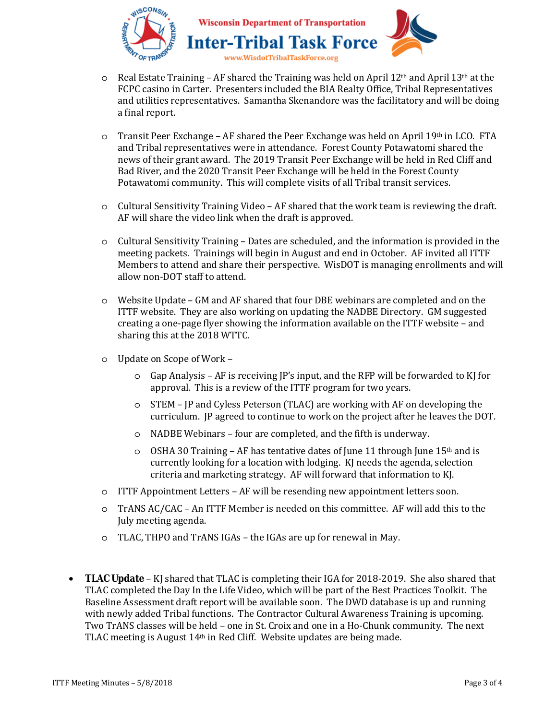



- $\circ$  Real Estate Training AF shared the Training was held on April 12<sup>th</sup> and April 13<sup>th</sup> at the FCPC casino in Carter. Presenters included the BIA Realty Office, Tribal Representatives and utilities representatives. Samantha Skenandore was the facilitatory and will be doing a final report.
- $\circ$  Transit Peer Exchange AF shared the Peer Exchange was held on April 19th in LCO. FTA and Tribal representatives were in attendance. Forest County Potawatomi shared the news of their grant award. The 2019 Transit Peer Exchange will be held in Red Cliff and Bad River, and the 2020 Transit Peer Exchange will be held in the Forest County Potawatomi community. This will complete visits of all Tribal transit services.
- o Cultural Sensitivity Training Video AF shared that the work team is reviewing the draft. AF will share the video link when the draft is approved.
- o Cultural Sensitivity Training Dates are scheduled, and the information is provided in the meeting packets. Trainings will begin in August and end in October. AF invited all ITTF Members to attend and share their perspective. WisDOT is managing enrollments and will allow non-DOT staff to attend.
- o Website Update GM and AF shared that four DBE webinars are completed and on the ITTF website. They are also working on updating the NADBE Directory. GM suggested creating a one-page flyer showing the information available on the ITTF website – and sharing this at the 2018 WTTC.
- o Update on Scope of Work
	- $\circ$  Gap Analysis AF is receiving IP's input, and the RFP will be forwarded to KJ for approval. This is a review of the ITTF program for two years.
	- o STEM JP and Cyless Peterson (TLAC) are working with AF on developing the curriculum. JP agreed to continue to work on the project after he leaves the DOT.
	- o NADBE Webinars four are completed, and the fifth is underway.
	- $\circ$  OSHA 30 Training AF has tentative dates of June 11 through June 15<sup>th</sup> and is currently looking for a location with lodging. KJ needs the agenda, selection criteria and marketing strategy. AF will forward that information to KJ.
- o ITTF Appointment Letters AF will be resending new appointment letters soon.
- o TrANS AC/CAC An ITTF Member is needed on this committee. AF will add this to the July meeting agenda.
- o TLAC, THPO and TrANS IGAs the IGAs are up for renewal in May.
- **TLAC Update** KJ shared that TLAC is completing their IGA for 2018-2019. She also shared that TLAC completed the Day In the Life Video, which will be part of the Best Practices Toolkit. The Baseline Assessment draft report will be available soon. The DWD database is up and running with newly added Tribal functions. The Contractor Cultural Awareness Training is upcoming. Two TrANS classes will be held – one in St. Croix and one in a Ho-Chunk community. The next TLAC meeting is August 14th in Red Cliff. Website updates are being made.